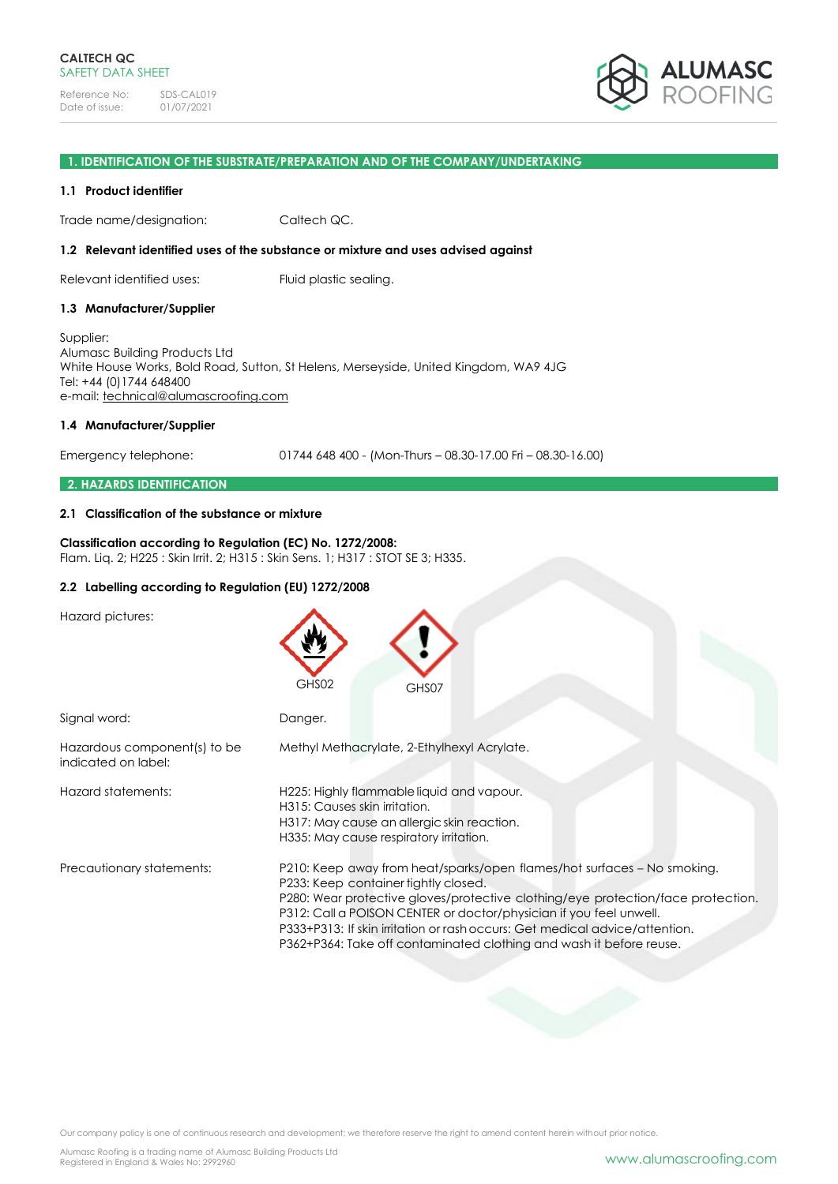

### **1. IDENTIFICATION OF THE SUBSTRATE/PREPARATION AND OF THE COMPANY/UNDERTAKING**

### **1.1 Product identifier**

Trade name/designation: Caltech QC.

#### **1.2 Relevant identified uses of the substance or mixture and uses advised against**

Relevant identified uses: Fluid plastic sealing.

### **1.3 Manufacturer/Supplier**

Supplier: Alumasc Building Products Ltd White House Works, Bold Road, Sutton, St Helens, Merseyside, United Kingdom, WA9 4JG Tel: +44 (0)1744 648400 e-mail: [technical@alumascroofing.com](mailto:technical@alumascroofing.com)

### **1.4 Manufacturer/Supplier**

Emergency telephone: 01744 648 400 - (Mon-Thurs – 08.30-17.00 Fri – 08.30-16.00)

### **2. HAZARDS IDENTIFICATION**

### **2.1 Classification of the substance or mixture**

### **Classification according to Regulation (EC) No. 1272/2008:** Flam. Liq. 2; H225 : Skin Irrit. 2; H315 : Skin Sens. 1; H317 : STOT SE 3; H335.

# **2.2 Labelling according to Regulation (EU) 1272/2008**

Hazard pictures:

|                                                     | GHS02<br>GHS07                                                                                                                                                                                                                                                                                                                                                                                                                  |
|-----------------------------------------------------|---------------------------------------------------------------------------------------------------------------------------------------------------------------------------------------------------------------------------------------------------------------------------------------------------------------------------------------------------------------------------------------------------------------------------------|
| Signal word:                                        | Danger.                                                                                                                                                                                                                                                                                                                                                                                                                         |
| Hazardous component(s) to be<br>indicated on label: | Methyl Methacrylate, 2-Ethylhexyl Acrylate.                                                                                                                                                                                                                                                                                                                                                                                     |
| Hazard statements:                                  | H225: Highly flammable liquid and vapour.<br>H315: Causes skin irritation.<br>H317: May cause an allergic skin reaction.<br>H335: May cause respiratory irritation.                                                                                                                                                                                                                                                             |
| Precautionary statements:                           | P210: Keep away from heat/sparks/open flames/hot surfaces - No smoking.<br>P233: Keep container tightly closed.<br>P280: Wear protective gloves/protective clothing/eye protection/face protection.<br>P312: Call a POISON CENTER or doctor/physician if you feel unwell.<br>P333+P313: If skin irritation or rash occurs: Get medical advice/attention.<br>P362+P364: Take off contaminated clothing and wash it before reuse. |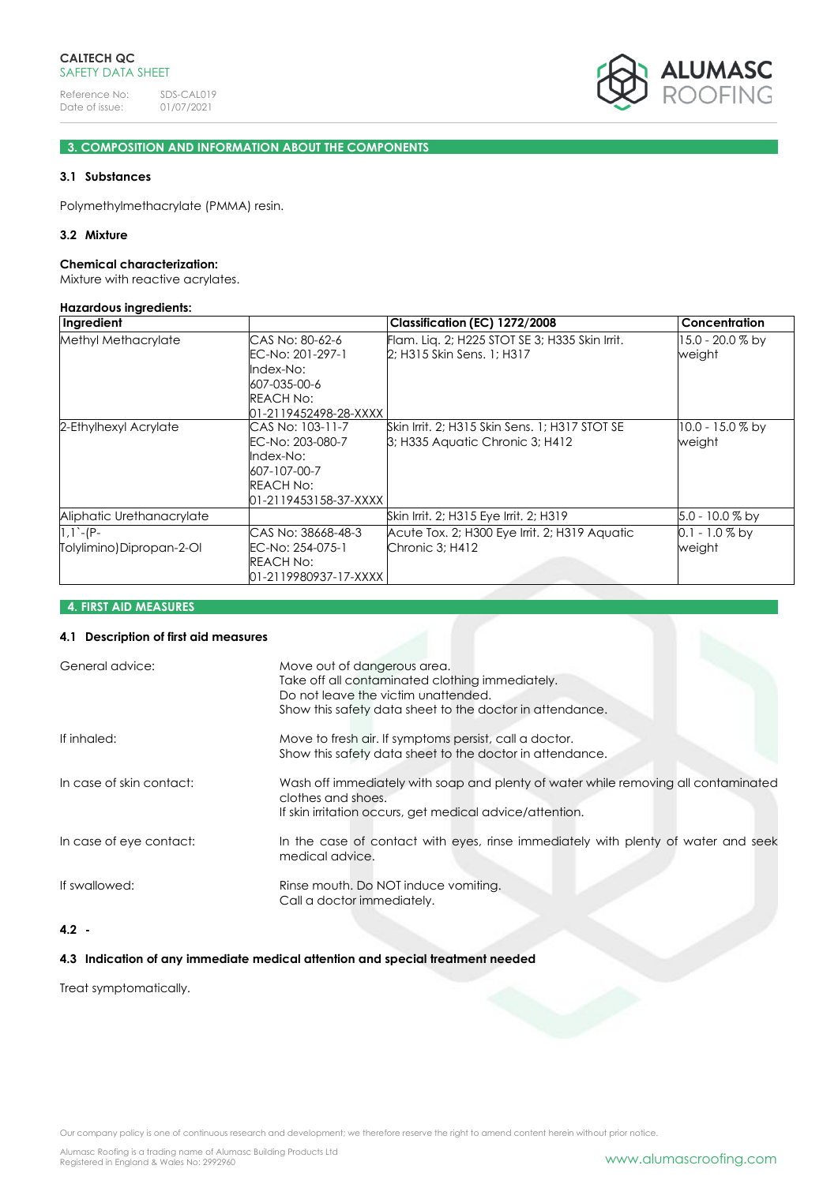

# **3. COMPOSITION AND INFORMATION ABOUT THE COMPONENTS**

# **3.1 Substances**

Polymethylmethacrylate (PMMA) resin.

# **3.2 Mixture**

#### **Chemical characterization:**

Mixture with reactive acrylates.

#### **Hazardous ingredients:**

| Ingredient                               |                                                                                                               | Classification (EC) 1272/2008                                                             | <b>Concentration</b>         |
|------------------------------------------|---------------------------------------------------------------------------------------------------------------|-------------------------------------------------------------------------------------------|------------------------------|
| Methyl Methacrylate                      | CAS No: 80-62-6<br>EC-No: 201-297-1<br>Index-No:<br>607-035-00-6<br><b>REACH No:</b><br>01-2119452498-28-XXXX | Flam. Lig. 2; H225 STOT SE 3; H335 Skin Irrit.<br>2; H315 Skin Sens. 1; H317              | 15.0 - 20.0 % by<br>weight   |
| 2-Ethylhexyl Acrylate                    | CAS No: 103-11-7<br>EC-No: 203-080-7<br>Index-No:<br>607-107-00-7<br>REACH No:<br>01-2119453158-37-XXXX       | Skin Irrit, 2; H315 Skin Sens, 1; H317 STOT SE<br><b>B</b> ; H335 Aquatic Chronic 3; H412 | $10.0 - 15.0 %$ by<br>weight |
| Aliphatic Urethanacrylate                |                                                                                                               | Skin Irrit. 2; H315 Eye Irrit. 2; H319                                                    | 5.0 - 10.0 % by              |
| $1,1 - (P -$<br>Tolylimino)Dipropan-2-Ol | CAS No: 38668-48-3<br>EC-No: 254-075-1<br><b>REACH No:</b><br>01-2119980937-17-XXXX                           | Acute Tox. 2; H300 Eye Irrit. 2; H319 Aquatic<br>Chronic 3; H412                          | $0.1 - 1.0\%$ by<br>weight   |

# **4. FIRST AID MEASURES**

# **4.1 Description of first aid measures**

| General advice:          | Move out of dangerous area.<br>Take off all contaminated clothing immediately.<br>Do not leave the victim unattended.<br>Show this safety data sheet to the doctor in attendance. |
|--------------------------|-----------------------------------------------------------------------------------------------------------------------------------------------------------------------------------|
| If inhaled:              | Move to fresh air. If symptoms persist, call a doctor.<br>Show this safety data sheet to the doctor in attendance.                                                                |
| In case of skin contact: | Wash off immediately with soap and plenty of water while removing all contaminated<br>clothes and shoes.<br>If skin irritation occurs, get medical advice/attention.              |
| In case of eye contact:  | In the case of contact with eyes, rinse immediately with plenty of water and seek<br>medical advice.                                                                              |
| If swallowed:            | Rinse mouth. Do NOT induce vomiting.<br>Call a doctor immediately.                                                                                                                |
|                          |                                                                                                                                                                                   |

# **4.2 -**

### **4.3 Indication of any immediate medical attention and special treatment needed**

Treat symptomatically.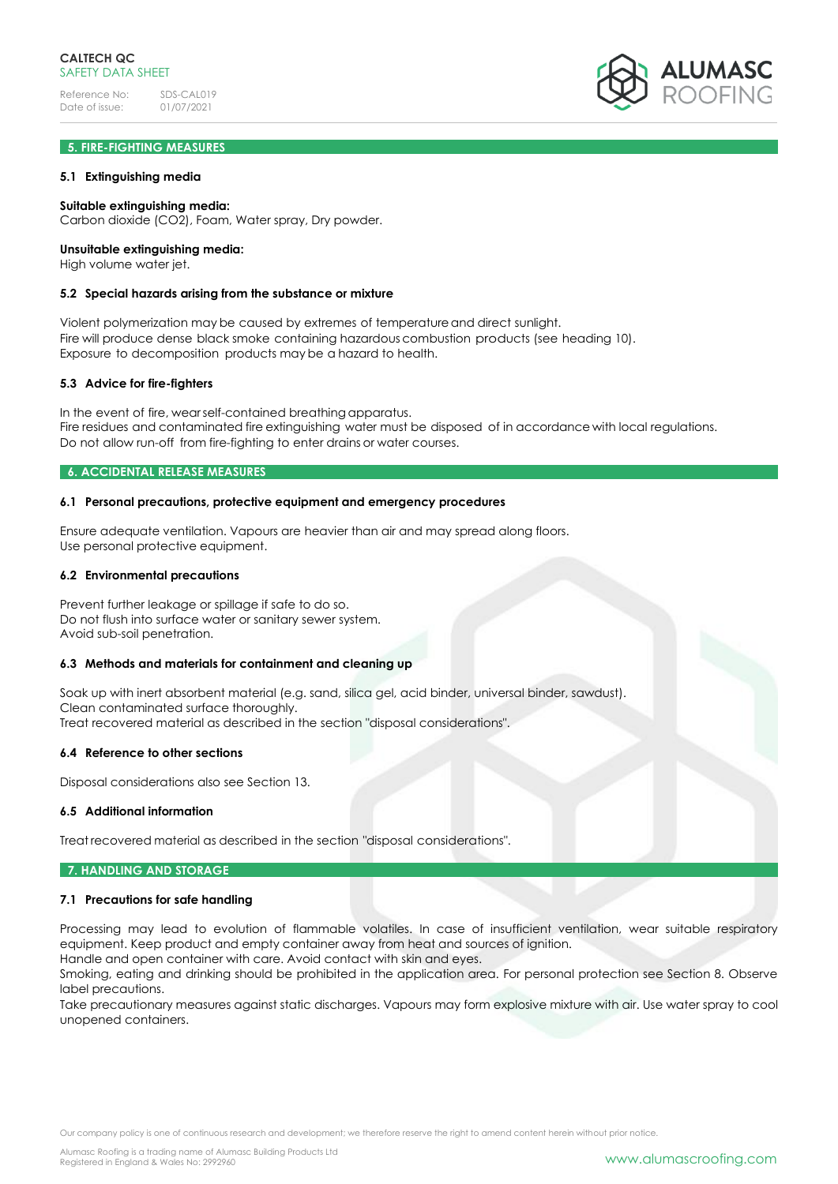# **5. FIRE-FIGHTING MEASURES**

### **5.1 Extinguishing media**

#### **Suitable extinguishing media:**

Carbon dioxide (CO2), Foam, Water spray, Dry powder.

## **Unsuitable extinguishing media:**

High volume water jet.

### **5.2 Special hazards arising from the substance or mixture**

Violent polymerization may be caused by extremes of temperatureand direct sunlight. Fire will produce dense black smoke containing hazardous combustion products (see heading 10). Exposure to decomposition products may be a hazard to health.

### **5.3 Advice for fire-fighters**

In the event of fire, wearself-contained breathing apparatus. Fire residues and contaminated fire extinguishing water must be disposed of in accordance with local regulations. Do not allow run-off from fire-fighting to enter drains or water courses.

## **6. ACCIDENTAL RELEASE MEASURES**

#### **6.1 Personal precautions, protective equipment and emergency procedures**

Ensure adequate ventilation. Vapours are heavier than air and may spread along floors. Use personal protective equipment.

#### **6.2 Environmental precautions**

Prevent further leakage or spillage if safe to do so. Do not flush into surface water or sanitary sewer system. Avoid sub-soil penetration.

### **6.3 Methods and materials for containment and cleaning up**

Soak up with inert absorbent material (e.g. sand, silica gel, acid binder, universal binder, sawdust). Clean contaminated surface thoroughly. Treat recovered material as described in the section "disposal considerations".

#### **6.4 Reference to other sections**

Disposal considerations also see Section 13.

#### **6.5 Additional information**

Treat recovered material as described in the section "disposal considerations".

#### **7. HANDLING AND STORAGE**

#### **7.1 Precautions for safe handling**

Processing may lead to evolution of flammable volatiles. In case of insufficient ventilation, wear suitable respiratory equipment. Keep product and empty container away from heat and sources of ignition. Handle and open container with care. Avoid contact with skin and eyes.

Smoking, eating and drinking should be prohibited in the application area. For personal protection see Section 8. Observe label precautions.

Take precautionary measures against static discharges. Vapours may form explosive mixture with air. Use water spray to cool unopened containers.

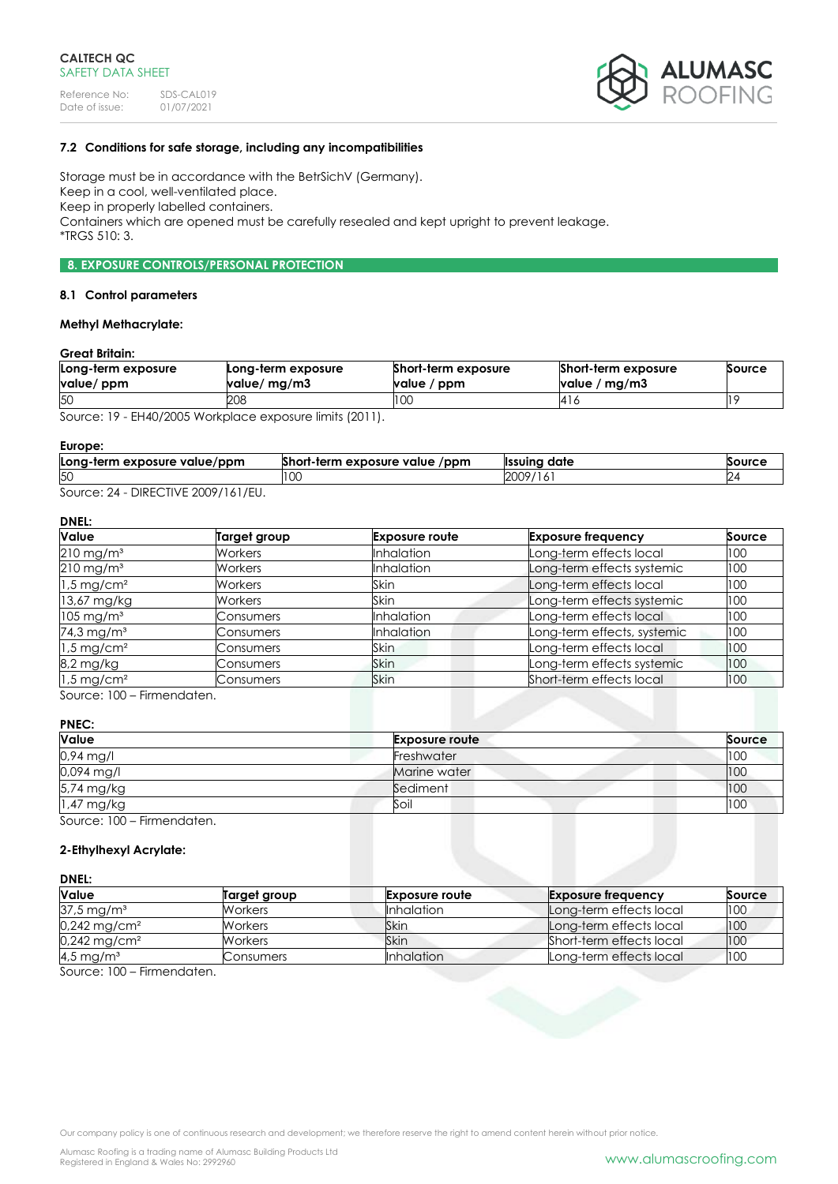

# **7.2 Conditions for safe storage, including any incompatibilities**

Storage must be in accordance with the BetrSichV (Germany). Keep in a cool, well-ventilated place. Keep in properly labelled containers. Containers which are opened must be carefully resealed and kept upright to prevent leakage. \*TRGS 510: 3.

# **8. EXPOSURE CONTROLS/PERSONAL PROTECTION**

#### **8.1 Control parameters**

# **Methyl Methacrylate:**

# **Great Britain:**

| Long-term exposure<br>value/ ppm | Long-term exposure<br>value/ mg/m3 | Short-term exposure<br>value / ppm | Short-term exposure<br>value / $mg/m3$ | Source |
|----------------------------------|------------------------------------|------------------------------------|----------------------------------------|--------|
| 50                               | 208                                | 100                                | 14 I G                                 |        |
| $\sim$                           | $1!$ $1!$ $1!$ $1!$ $1!$ $1!$ $1!$ |                                    |                                        |        |

Source: 19 - EH40/2005 Workplace exposure limits (2011).

#### **Europe:**

| Long-term exposure value/ppm | <b>A</b><br>$/$ ppm<br>ort-term exposure value , | date<br><b>Ilssuinc</b> | Source |
|------------------------------|--------------------------------------------------|-------------------------|--------|
| 50                           | LU.                                              | 2009                    |        |
| DIDFCATIVF                   |                                                  |                         |        |

Source: 24 - DIRECTIVE 2009/161/EU.

# **DNEL:**

| Value                    | <b>Target group</b> | <b>Exposure route</b> | <b>Exposure frequency</b>   | Source |
|--------------------------|---------------------|-----------------------|-----------------------------|--------|
| $210 \,\mathrm{mg/m^3}$  | Workers             | <b>Inhalation</b>     | Long-term effects local     | 100    |
| $210$ mg/m <sup>3</sup>  | <b>Workers</b>      | <b>Inhalation</b>     | Long-term effects systemic  | 100    |
| $1.5 \,\mathrm{mg/cm^2}$ | <b>Workers</b>      | Skin                  | Long-term effects local     | 100    |
| 13,67 mg/kg              | <b>Workers</b>      | Skin                  | Long-term effects systemic  | 100    |
| $105 \,\mathrm{mg/m^3}$  | Consumers           | <b>Inhalation</b>     | Long-term effects local     | 100    |
| 74,3 mg/m <sup>3</sup>   | Consumers           | <b>Inhalation</b>     | Long-term effects, systemic | 100    |
| $1.5 \,\mathrm{mg/cm^2}$ | Consumers           | Skin                  | Long-term effects local     | 100    |
| 8,2 mg/kg                | Consumers           | Skin                  | Long-term effects systemic  | 100    |
| $1.5 \,\mathrm{mg/cm^2}$ | Consumers           | <b>Skin</b>           | Short-term effects local    | 100    |

Source: 100 – Firmendaten.

### **PNEC:**

| Value                   | <b>Exposure route</b> | Source |
|-------------------------|-----------------------|--------|
| $0.94$ mg/l             | Freshwater            | 100    |
| 0,094 mg/l              | Marine water          | 100    |
| 5,74 mg/kg              | Sediment              | 100    |
| 1,47 mg/kg              | Soil                  | 100    |
| Source: 100 Eirmondaton |                       |        |

Source: 100 – Firmendaten.

### **2-Ethylhexyl Acrylate:**

#### **DNEL:**

| <b>Value</b>               | Target group | <b>Exposure route</b> | <b>Exposure frequency</b> | Source |
|----------------------------|--------------|-----------------------|---------------------------|--------|
| $37.5 \,\mathrm{mg/m^3}$   | Workers      | <b>Inhalation</b>     | Long-term effects local   | 100    |
| $0,242$ mg/cm <sup>2</sup> | Workers      | Skin                  | Long-term effects local   | 100    |
| 0,242 mg/cm <sup>2</sup>   | Workers      | Skin                  | Short-term effects local  | 100    |
| 4,5 mg/m <sup>3</sup>      | Consumers    | <b>Inhalation</b>     | Long-term effects local   | 100    |

Source: 100 – Firmendaten.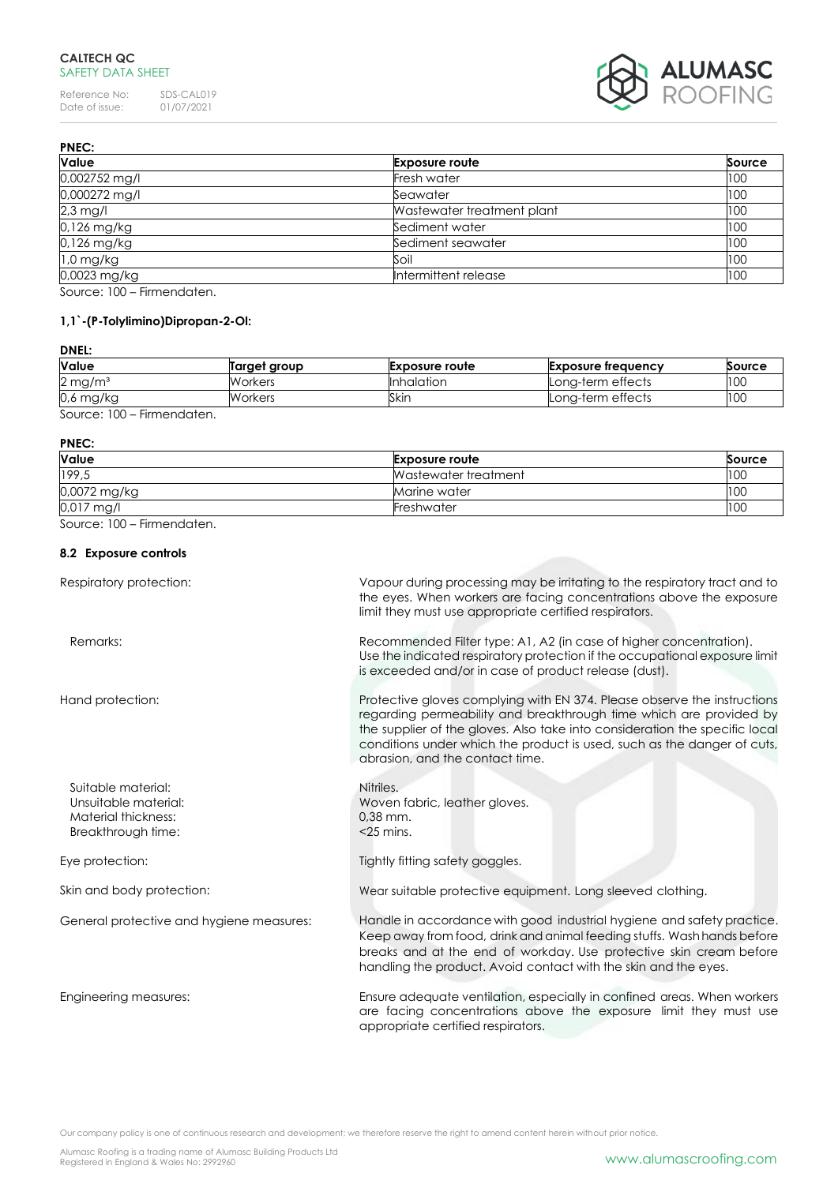# **CALTECH QC** SAFETY DATA SHEET

Reference No: SDS-CAL019<br>Date of issue: 01/07/2021 Date of issue:



| <b>PNEC:</b>            |                            |        |
|-------------------------|----------------------------|--------|
| Value                   | <b>Exposure route</b>      | Source |
| 0,002752 mg/l           | Fresh water                | 100    |
| 0,000272 mg/l           | Seawater                   | 100    |
| $2,3$ mg/l              | Wastewater treatment plant | 100    |
| 0,126 mg/kg             | Sediment water             | 100    |
| 0,126 mg/kg             | Sediment seawater          | 100    |
| $1,0$ mg/kg             | Soil                       | 100    |
| 0,0023 mg/kg            | Intermittent release       | 100    |
| $0.100$ $0.100$ $0.100$ |                            |        |

Source: 100 – Firmendaten.

# **1,1`-(P-Tolylimino)Dipropan-2-Ol:**

# **DNEL:**

| <b>Value</b>          | Target group   | <b>Exposure route</b> | Exposure frequency | Source |
|-----------------------|----------------|-----------------------|--------------------|--------|
| $2 \,\mathrm{mg/m^3}$ | <b>Workers</b> | <b>Inhalation</b>     | Long-term effects  | 100    |
| $0.6$ mg/kg           | Workers        | Skin                  | Lona-term effects  | 100    |
| Firmannadortan        |                |                       |                    |        |

Source: 100 – Firmendaten.

#### **PNEC:**

| Value        | <b>Exposure route</b> | Source |
|--------------|-----------------------|--------|
| 199,5        | Wastewater treatment  | 100    |
| 0,0072 mg/kg | Marine water          | 100    |
| 0,017 mg/l   | Freshwater            | 100    |

Source: 100 – Firmendaten.

# **8.2 Exposure controls**

| Respiratory protection:                                                                 | Vapour during processing may be irritating to the respiratory tract and to<br>the eyes. When workers are facing concentrations above the exposure<br>limit they must use appropriate certified respirators.                                                                                                                                 |
|-----------------------------------------------------------------------------------------|---------------------------------------------------------------------------------------------------------------------------------------------------------------------------------------------------------------------------------------------------------------------------------------------------------------------------------------------|
| Remarks:                                                                                | Recommended Filter type: A1, A2 (in case of higher concentration).<br>Use the indicated respiratory protection if the occupational exposure limit<br>is exceeded and/or in case of product release (dust).                                                                                                                                  |
| Hand protection:                                                                        | Protective gloves complying with EN 374. Please observe the instructions<br>regarding permeability and breakthrough time which are provided by<br>the supplier of the gloves. Also take into consideration the specific local<br>conditions under which the product is used, such as the danger of cuts,<br>abrasion, and the contact time. |
| Suitable material:<br>Unsuitable material:<br>Material thickness:<br>Breakthrough time: | Nitriles.<br>Woven fabric, leather gloves.<br>$0.38$ mm.<br>$<$ 25 mins.                                                                                                                                                                                                                                                                    |
| Eye protection:                                                                         | Tightly fitting safety goggles.                                                                                                                                                                                                                                                                                                             |
| Skin and body protection:                                                               | Wear suitable protective equipment. Long sleeved clothing.                                                                                                                                                                                                                                                                                  |
| General protective and hygiene measures:                                                | Handle in accordance with good industrial hygiene and safety practice.<br>Keep away from food, drink and animal feeding stuffs. Wash hands before<br>breaks and at the end of workday. Use protective skin cream before<br>handling the product. Avoid contact with the skin and the eyes.                                                  |
| Engineering measures:                                                                   | Ensure adequate ventilation, especially in confined areas. When workers<br>are facing concentrations above the exposure limit they must use<br>appropriate certified respirators.                                                                                                                                                           |

Our company policy is one of continuous research and development; we therefore reserve the right to amend content herein without prior notice.

Alumasc Roofing is a trading name of Alumasc Building Products Ltd<br>Registered in England & Wales No: 2992960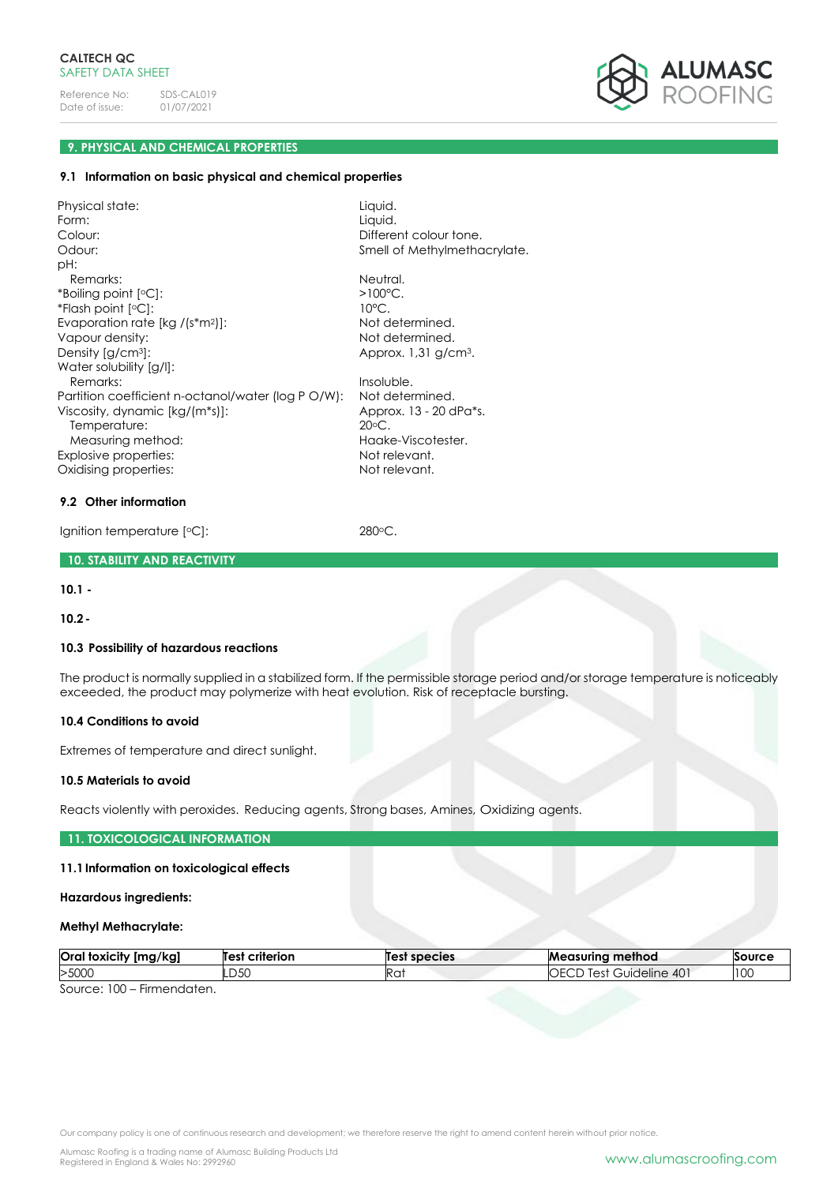

# **9. PHYSICAL AND CHEMICAL PROPERTIES**

### **9.1 Information on basic physical and chemical properties**

Physical state: Liquid. Form: Liquid. Colour: Colour: Different colour tone. Odour: Colour: Smell of Methylmethacrylate. pH: Remarks: Neutral.  $*$ Boiling point  $[°C]$ :  $>100°C$ . \*Flash point [oC]: 10°C. Evaporation rate [kg /(s\*m<sup>2</sup>)]: Not determined. Vapour density: Not determined. Density  $[g/cm^3]$ : Approx. 1,31 g/cm<sup>3</sup>. Water solubility [g/l]: Remarks: Insoluble. Partition coefficient n-octanol/water (log P O/W): Not determined.<br>Viscosity, dynamic [ka/(m\*s)]: Approx, 13 - 20 dPa\*s. Viscosity, dynamic [kg/(m\*s)]: Temperature: 20°C. Measuring method: Haake-Viscotester. Explosive properties: Not relevant. Oxidising properties: Not relevant.

### **9.2 Other information**

Ignition temperature [°C]: 280°C.

### **10. STABILITY AND REACTIVITY**

**10.1 -**

**10.2-**

### **10.3 Possibility of hazardous reactions**

The product is normally supplied in a stabilized form. If the permissible storage period and/or storage temperature is noticeably exceeded, the product may polymerize with heat evolution. Risk of receptacle bursting.

### **10.4 Conditions to avoid**

Extremes of temperature and direct sunlight.

### **10.5 Materials to avoid**

Reacts violently with peroxides. Reducing agents, Strong bases, Amines, Oxidizing agents.

### **11. TOXICOLOGICAL INFORMATION**

# **11.1Information on toxicological effects**

### **Hazardous ingredients:**

#### **Methyl Methacrylate:**

| Oral<br>[mg/kg]<br>' foxicitv | criterion<br>Test | Test species | method<br>Measurina                      | Source |
|-------------------------------|-------------------|--------------|------------------------------------------|--------|
| >5000                         | חגח<br>-20        | Ra.          | $40^{\circ}$<br>lest<br>Guideline<br>いいし | 100    |
| $-$<br>$\sim$<br>$\sim$       |                   |              |                                          |        |

Source: 100 – Firmendaten.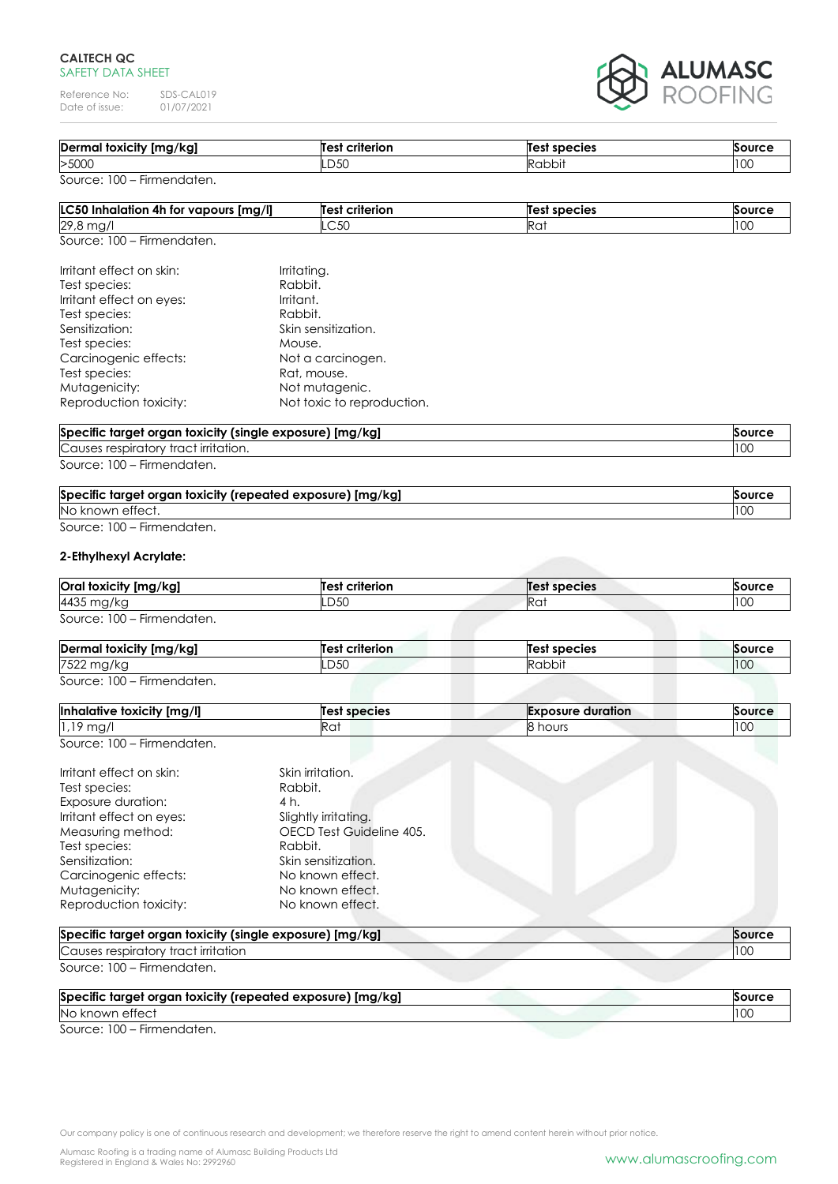# **CALTECH QC** SAFETY DATA SHEET

Reference No: SDS-CAL019<br>Date of issue: 01/07/2021 Date of issue:



| Dermal toxicity [mg/kg] | <b>Test criterion</b> | <b>Test species</b> | Source |
|-------------------------|-----------------------|---------------------|--------|
| >5000                   | .D5C                  | Rabbit              | 100    |

| <b>LC50 Inhalation 4h for vapours [mg/l]</b> | <b>Test criterion</b> | Test species    | Source |
|----------------------------------------------|-----------------------|-----------------|--------|
| 29,8<br>i mai                                | .C50                  | Ra <sup>.</sup> | 100    |
| Source: 100 – Firmendaten.                   |                       |                 |        |

| Irritant effect on skin: | Irritating.                |
|--------------------------|----------------------------|
| Test species:            | Rabbit.                    |
| Irritant effect on eyes: | Irritant.                  |
| Test species:            | Rabbit.                    |
| Sensitization:           | Skin sensitization.        |
| Test species:            | Mouse.                     |
| Carcinogenic effects:    | Not a carcinogen.          |
| Test species:            | Rat, mouse.                |
| Mutagenicity:            | Not mutagenic.             |
| Reproduction toxicity:   | Not toxic to reproduction. |
|                          |                            |

| Specific target organ toxicity (single exposure) [mg/kg]<br>Source |     |
|--------------------------------------------------------------------|-----|
| Causes respiratory tract irritation.                               | 10C |
| Source: 100 - Firmendaten.                                         |     |

| Specific target organ toxicity (repeated exposure) [mg/kg] | Source |
|------------------------------------------------------------|--------|
| No known effect.                                           |        |
| Source: 100 – Firmendaten.                                 |        |

# **2-Ethylhexyl Acrylate:**

| Oral toxicity [mg/kg]      | Test criterion | Test species | Source |
|----------------------------|----------------|--------------|--------|
| 4435 mg/kg                 | LD5C           | Rat          | 10C    |
| Source: 100 - Firmendaten. |                |              |        |

| Dermal toxicity [mg/kg]    | Test criterion | Test species | <b>Source</b>   |
|----------------------------|----------------|--------------|-----------------|
| 7522 mg/kg                 | LD50           | Rabbit       | 10 <sup>c</sup> |
| Source: 100 – Firmendaten. |                |              |                 |

| Inhalative toxicity [mg/l]               | Test species | <b>Exposure duration</b> | Source |
|------------------------------------------|--------------|--------------------------|--------|
| $1,19$ mg,                               | .<br>ĸu.     | hours                    | 100    |
| $S_{\Omega U}$ rca: $100 - Eirmandation$ |              |                          |        |

| Irritant effect on skin:<br>Test species: | Skin irritation.<br>Rabbit. |
|-------------------------------------------|-----------------------------|
| Exposure duration:                        | 4 h.                        |
| Irritant effect on eyes:                  | Slightly irritating.        |
| Measuring method:                         | OECD Test Guideline 405.    |
| Test species:                             | Rabbit.                     |
| Sensitization:                            | Skin sensitization.         |
| Carcinogenic effects:                     | No known effect.            |
| Mutagenicity:                             | No known effect.            |
| Reproduction toxicity:                    | No known effect.            |

| Specific target organ toxicity (single exposure) [mg/kg] | <b>Source</b> |
|----------------------------------------------------------|---------------|
| Causes respiratory tract irritation                      | 10C           |
| Source: 100 – Firmendaten.                               |               |

| Specific target organ toxicity (repeated exposure) [mg/kg] | Source |
|------------------------------------------------------------|--------|
| No known effect                                            |        |
| $S_0$ $rra$ $\Omega$ $\Omega$<br>Eirmondaton               |        |

Source: 100 – Firmendaten.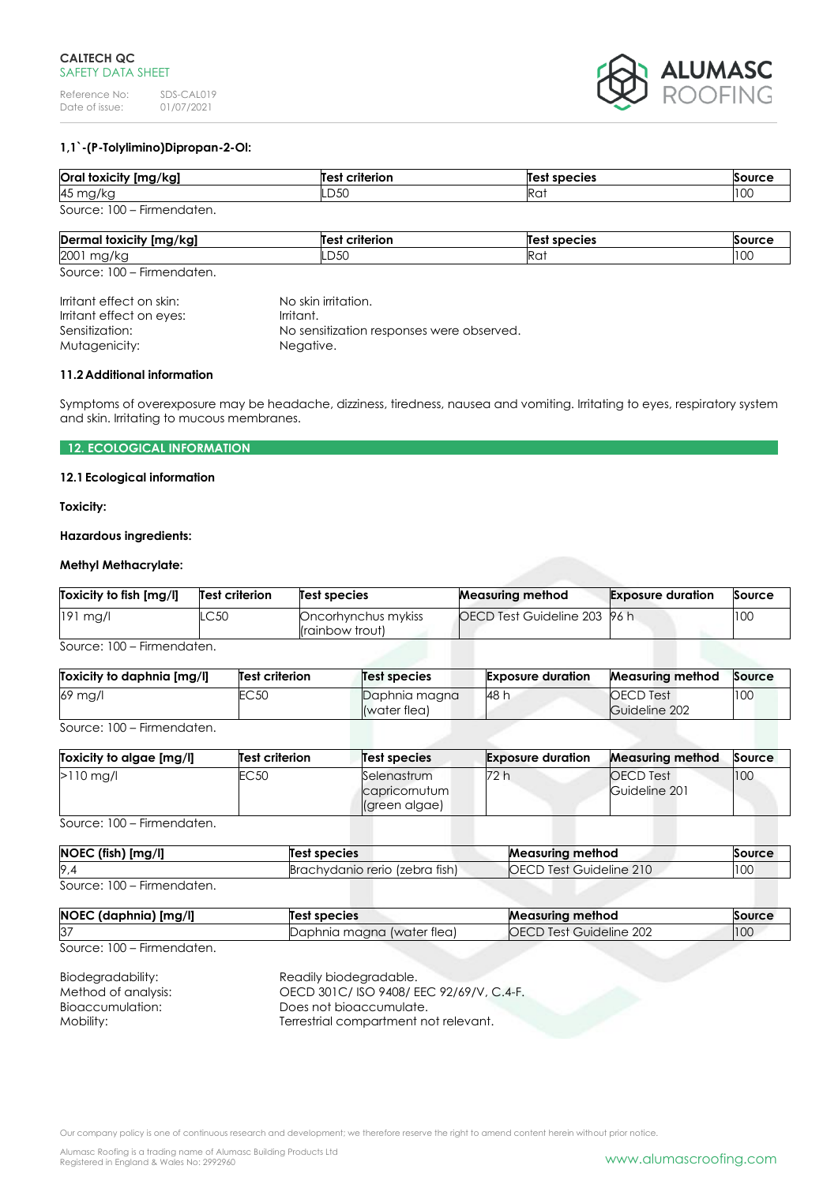

# **1,1`-(P-Tolylimino)Dipropan-2-Ol:**

| Oral toxicity [mg/kg]      | <b>Test criterion</b> | <b>Test species</b> | Source |
|----------------------------|-----------------------|---------------------|--------|
| 45 mg/kg                   | LD50                  | Rai                 | 100    |
| Source: 100 - Firmendaten. |                       |                     |        |

| <br>Dermal<br>! foxicity [mg/kg] | $\ddot{\phantom{0}}$<br>--------<br>7 I I | Те<br>species   | $\sim$               |
|----------------------------------|-------------------------------------------|-----------------|----------------------|
| 2001<br>ື<br>$\sim$              | $\sim$ $\sim$<br>-DJU                     | Ra <sup>.</sup> | $\sim$ $\sim$<br>ט ו |

Source: 100 – Firmendaten.

| Irritant effect on skin: | No skin irritation.                       |
|--------------------------|-------------------------------------------|
| Irritant effect on eyes: | Irritant.                                 |
| Sensitization:           | No sensitization responses were observed. |
| Mutagenicity:            | Negative.                                 |
|                          |                                           |

### **11.2Additional information**

Symptoms of overexposure may be headache, dizziness, tiredness, nausea and vomiting. Irritating to eyes, respiratory system and skin. Irritating to mucous membranes.

# **12. ECOLOGICAL INFORMATION**

## **12.1Ecological information**

**Toxicity:**

### **Hazardous ingredients:**

# **Methyl Methacrylate:**

| OECD Test Guideline 203 96 h<br>100<br>$191$ mg/l<br>.C50<br>Oncorhynchus mykiss | Toxicity to fish [mg/l] | Test criterion | Test species    | <b>Measuring method</b> | <b>Exposure duration</b> | Source |
|----------------------------------------------------------------------------------|-------------------------|----------------|-----------------|-------------------------|--------------------------|--------|
|                                                                                  |                         |                | (rainbow trout) |                         |                          |        |

Source: 100 – Firmendaten.

| Toxicity to daphnia [mg/l] | <b>Test criterion</b> | Test species                  | <b>Exposure duration</b> | <b>Measuring method</b>           | Source |
|----------------------------|-----------------------|-------------------------------|--------------------------|-----------------------------------|--------|
| 69 mg/l                    | EC 50                 | Daphnia magna<br>(water flea) | <b>48 h</b>              | <b>OECD</b> Test<br>Guideline 202 | 100    |

Source: 100 – Firmendaten.

| Toxicity to algae [mg/l] | <b>Test criterion</b> | <b>Test species</b>                           | <b>Exposure duration</b> | <b>Measuring method</b>           | Source |
|--------------------------|-----------------------|-----------------------------------------------|--------------------------|-----------------------------------|--------|
| $>110$ mg/l              | EC <sub>50</sub>      | Selenastrum<br>capricornutum<br>(green algae) | 72 h                     | <b>OECD</b> Test<br>Guideline 201 | 100    |

Source: 100 – Firmendaten.

| NOEC (fish) [mg/l]         | Test species                   | <b>Measuring method</b>        | Source |
|----------------------------|--------------------------------|--------------------------------|--------|
| 9.4                        | Brachydanio rerio (zebra fish) | <b>OECD Test Guideline 210</b> | 100    |
| Source: 100 – Firmendaten. |                                |                                |        |

| NOEC (daphnia) [mg/l] | llest species              | <b>Measuring method</b>        | Source |
|-----------------------|----------------------------|--------------------------------|--------|
| 37                    | Daphnia magna (water tlea) | <b>OECD Test Guideline 202</b> | 100    |

Source: 100 – Firmendaten.

| Biodegradability:   | Readily biodegradable.                 |
|---------------------|----------------------------------------|
| Method of analysis: | OECD 301C/ISO 9408/EEC 92/69/V, C.4-F. |
| Bioaccumulation:    | Does not bioaccumulate.                |
| Mobility:           | Terrestrial compartment not relevant.  |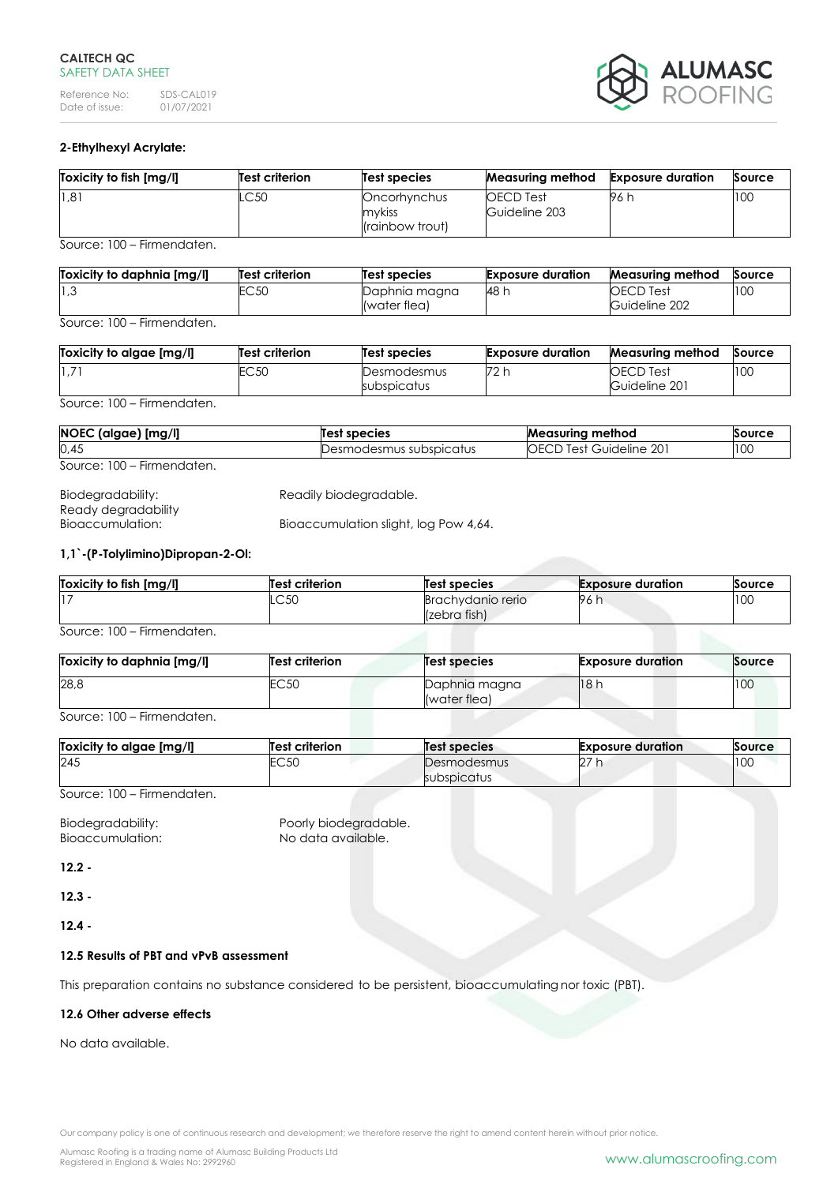# **CALTECH QC** SAFETY DATA SHEET

Reference No: SDS-CAL019<br>Date of issue: 01/07/2021 Date of issue:



# **2-Ethylhexyl Acrylate:**

| Toxicity to fish [mg/l] | Test criterion | Test species                              | Measuring method                  | <b>Exposure duration</b> | Source |
|-------------------------|----------------|-------------------------------------------|-----------------------------------|--------------------------|--------|
| 1,81                    | .C50           | Oncorhynchus<br>mykiss<br>(rainbow trout) | <b>OECD</b> Test<br>Guideline 203 | 96 h                     | 100    |

Source: 100 – Firmendaten.

| Toxicity to daphnia [mg/l] | <b>Test criterion</b> | Test species  | <b>Exposure duration</b> | <b>Measuring method</b> | Source |
|----------------------------|-----------------------|---------------|--------------------------|-------------------------|--------|
| $\vert 1,3 \rangle$        | EC 50                 | Daphnia magna | 48 h                     | <b>OECD</b> Test        | 100    |
|                            |                       | (water flea)  |                          | Guideline 202           |        |

Source: 100 – Firmendaten.

| Toxicity to algae [mg/l] | Test criterion | Test species               | <b>Exposure duration</b> | <b>Measuring method</b>           | Source |
|--------------------------|----------------|----------------------------|--------------------------|-----------------------------------|--------|
| $1.7^{\circ}$            | EC 50          | Desmodesmus<br>subspicatus | 72 h                     | <b>OECD</b> Test<br>Guideline 201 | 100    |

Source: 100 – Firmendaten.

| NOEC (algae) [mg/l]        | Test species              | <b>Measuring method</b>        | Source |
|----------------------------|---------------------------|--------------------------------|--------|
| 0,45                       | Desmodesmus subspicatus : | <b>OECD Test Guideline 201</b> | 100    |
| Source: 100 – Firmendaten. |                           |                                |        |

| Biodegradability:   | Readily biodegradable.                |
|---------------------|---------------------------------------|
| Ready degradability |                                       |
| Bioaccumulation:    | Bioaccumulation slight, log Pow 4,64. |

# **1,1`-(P-Tolylimino)Dipropan-2-Ol:**

| Toxicity to fish [mg/l] | <b>Test criterion</b> | <b>Test species</b>               | <b>Exposure duration</b> | Source |
|-------------------------|-----------------------|-----------------------------------|--------------------------|--------|
| 17                      | $\cap$ 50<br>∟ບບບ     | Brachydanio rerio<br>(zebra fish) | 96 h                     | 100    |

Source: 100 – Firmendaten.

| Toxicity to daphnia [mg/l] | <b>Test criterion</b> | Test species                  | <b>Exposure duration</b> | Source |
|----------------------------|-----------------------|-------------------------------|--------------------------|--------|
| 28,8                       | EC50                  | Daphnia magna<br>(water flea) | 18 h                     | 100    |

Source: 100 – Firmendaten.

| Toxicity to algae [mg/l] | <b>Test criterion</b> | Test species                      | <b>Exposure duration</b> | Source |
|--------------------------|-----------------------|-----------------------------------|--------------------------|--------|
| 245                      | 205<br>∟∪∪∟           | Desmodesmus<br><b>SUDSDICATUS</b> | $\sim$<br>ĽZ.            | 100    |

Source: 100 – Firmendaten.

Biodegradability: Poorly biodegradable.<br>
Bioaccumulation: No data available. Bioaccumulation:

**12.2 -**

**12.3 -**

**12.4 -**

# **12.5 Results of PBT and vPvB assessment**

This preparation contains no substance considered to be persistent, bioaccumulating nor toxic (PBT).

# **12.6 Other adverse effects**

No data available.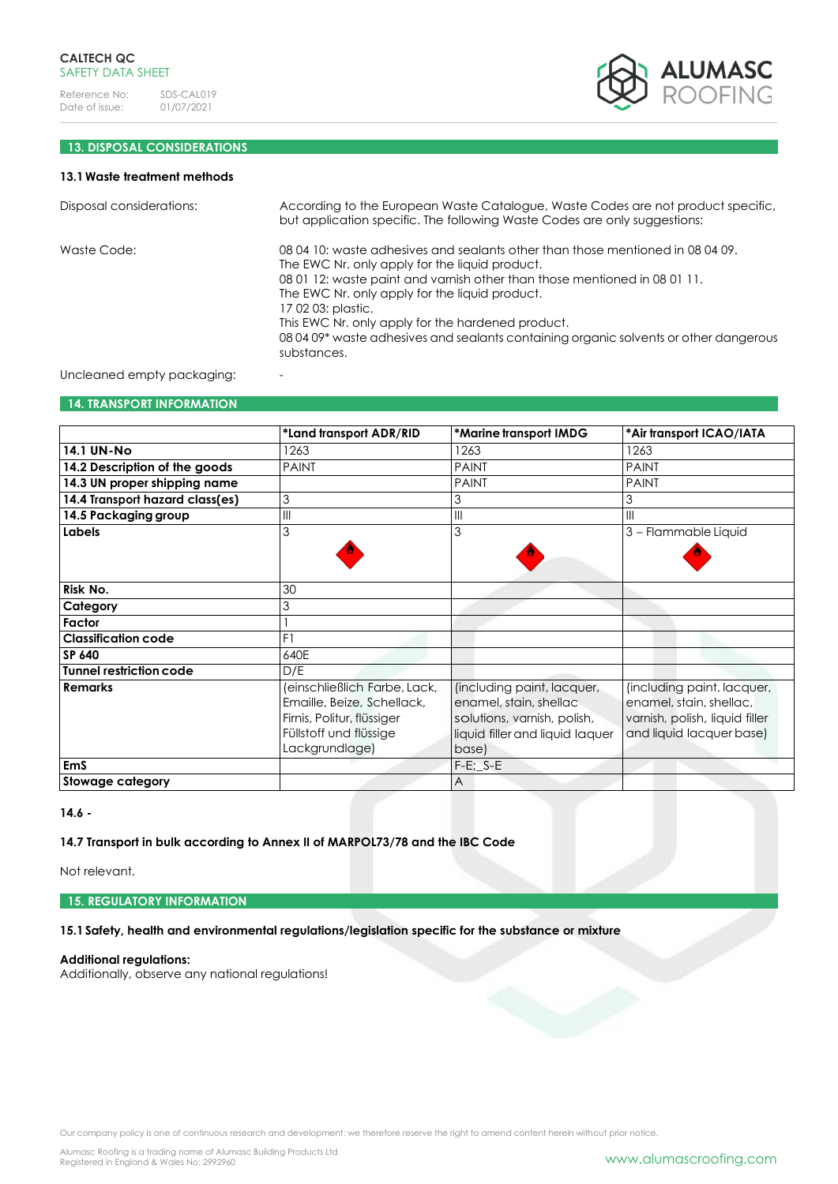

# **13. DISPOSAL CONSIDERATIONS**

# **13.1Waste treatment methods**

| Disposal considerations:   | According to the European Waste Catalogue, Waste Codes are not product specific,<br>but application specific. The following Waste Codes are only suggestions:                                                                                                                                                                                                                                                                                      |
|----------------------------|----------------------------------------------------------------------------------------------------------------------------------------------------------------------------------------------------------------------------------------------------------------------------------------------------------------------------------------------------------------------------------------------------------------------------------------------------|
| Waste Code:                | 08 04 10: waste adhesives and sealants other than those mentioned in 08 04 09.<br>The EWC Nr. only apply for the liquid product.<br>08 01 12: waste paint and varnish other than those mentioned in 08 01 11.<br>The EWC Nr. only apply for the liquid product.<br>17 02 03: plastic.<br>This EWC Nr. only apply for the hardened product.<br>08 04 09* waste adhesives and sealants containing organic solvents or other dangerous<br>substances. |
| Uncleaned empty packaging: |                                                                                                                                                                                                                                                                                                                                                                                                                                                    |

### **14. TRANSPORT INFORMATION**

|                                 | *Land transport ADR/RID      | *Marine transport IMDG          | *Air transport ICAO/IATA       |
|---------------------------------|------------------------------|---------------------------------|--------------------------------|
| <b>14.1 UN-No</b>               | 1263                         | 1263                            | 1263                           |
| 14.2 Description of the goods   | <b>PAINT</b>                 | <b>PAINT</b>                    | <b>PAINT</b>                   |
| 14.3 UN proper shipping name    |                              | <b>PAINT</b>                    | <b>PAINT</b>                   |
| 14.4 Transport hazard class(es) | 3                            | 3                               | 3                              |
| 14.5 Packaging group            | $\mathsf{III}$               | $\mathbb{H}$                    | Ш                              |
| Labels                          | 3                            | 3                               | 3 - Flammable Liquid           |
|                                 |                              |                                 |                                |
|                                 |                              |                                 |                                |
| Risk No.                        | 30                           |                                 |                                |
| Category                        | 3                            |                                 |                                |
| Factor                          |                              |                                 |                                |
| <b>Classification code</b>      | F1                           |                                 |                                |
| SP 640                          | 640E                         |                                 |                                |
| <b>Tunnel restriction code</b>  | D/E                          |                                 |                                |
| <b>Remarks</b>                  | (einschließlich Farbe, Lack, | (including paint, lacquer,      | (including paint, lacquer,     |
|                                 | Emaille, Beize, Schellack,   | enamel, stain, shellac          | enamel, stain, shellac,        |
|                                 | Firnis, Politur, flüssiger   | solutions, varnish, polish,     | varnish, polish, liquid filler |
|                                 | Füllstoff und flüssige       | liquid filler and liquid laquer | and liquid lacquer base)       |
|                                 | Lackgrundlage)               | base)                           |                                |
| <b>EmS</b>                      |                              | $F-E$ ; $S-E$                   |                                |
| Stowage category                |                              | $\overline{A}$                  |                                |

**14.6 -**

**14.7 Transport in bulk according to Annex II of MARPOL73/78 and the IBC Code**

Not relevant.

**15. REGULATORY INFORMATION**

**15.1Safety, health and environmental regulations/legislation specific for the substance or mixture**

# **Additional regulations:**

Additionally, observe any national regulations!